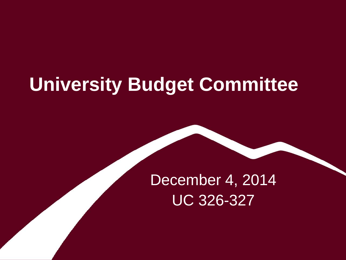# **University Budget Committee**

# December 4, 2014 UC 326-327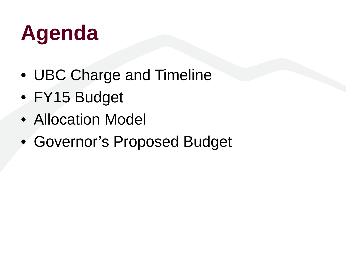# **Agenda**

- UBC Charge and Timeline
- FY15 Budget
- Allocation Model
- Governor's Proposed Budget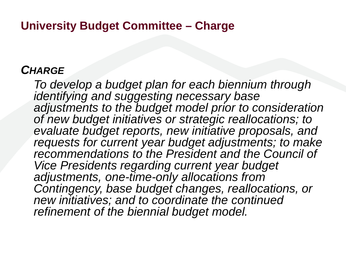#### **University Budget Committee – Charge**

#### *CHARGE*

*To develop a budget plan for each biennium through identifying and suggesting necessary base adjustments to the budget model prior to consideration of new budget initiatives or strategic reallocations; to evaluate budget reports, new initiative proposals, and requests for current year budget adjustments; to make recommendations to the President and the Council of Vice Presidents regarding current year budget adjustments, one-time-only allocations from Contingency, base budget changes, reallocations, or new initiatives; and to coordinate the continued refinement of the biennial budget model.*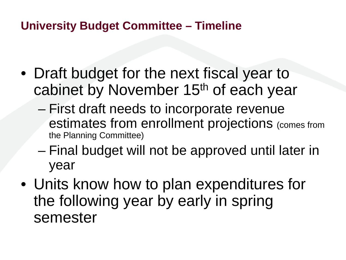### **University Budget Committee – Timeline**

- Draft budget for the next fiscal year to cabinet by November 15th of each year
	- First draft needs to incorporate revenue estimates from enrollment projections (comes from the Planning Committee)
	- Final budget will not be approved until later in year
- Units know how to plan expenditures for the following year by early in spring semester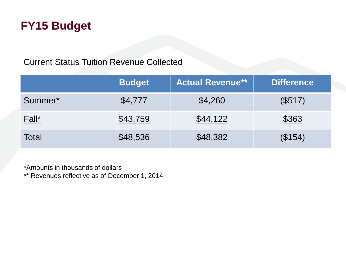### **FY15 Budget**

#### Current Status Tuition Revenue Collected

|         | <b>Budget</b> | <b>Actual Revenue**</b> | <b>Difference</b> |
|---------|---------------|-------------------------|-------------------|
| Summer* | \$4,777       | \$4,260                 | (\$517)           |
| Fall*   | \$43,759      | \$44,122                | \$363             |
| Total   | \$48,536      | \$48,382                | (\$154)           |

\*Amounts in thousands of dollars

\*\* Revenues reflective as of December 1, 2014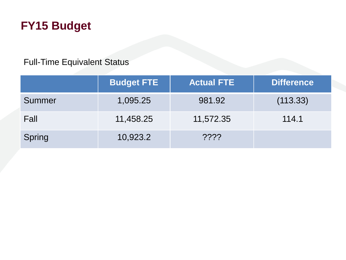### **FY15 Budget**

#### Full-Time Equivalent Status

|               | <b>Budget FTE</b> | <b>Actual FTE</b> | <b>Difference</b> |
|---------------|-------------------|-------------------|-------------------|
| Summer        | 1,095.25          | 981.92            | (113.33)          |
| Fall          | 11,458.25         | 11,572.35         | 114.1             |
| <b>Spring</b> | 10,923.2          | $??\%$            |                   |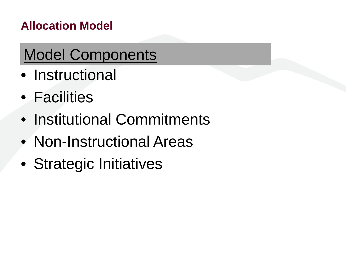# Model Components

- Instructional
- Facilities
- Institutional Commitments
- Non-Instructional Areas
- Strategic Initiatives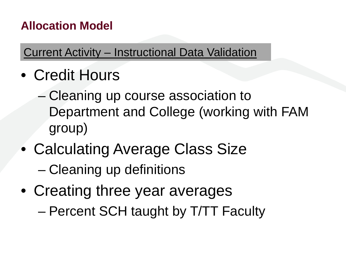Current Activity – Instructional Data Validation

- Credit Hours
	- Cleaning up course association to Department and College (working with FAM group)
- Calculating Average Class Size – Cleaning up definitions
- Creating three year averages
	- Percent SCH taught by T/TT Faculty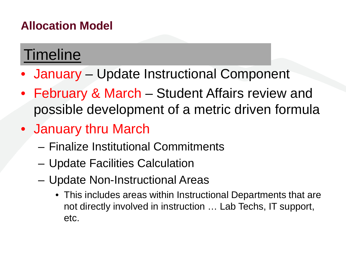## **Timeline**

- January Update Instructional Component
- February & March Student Affairs review and possible development of a metric driven formula
- January thru March
	- Finalize Institutional Commitments
	- Update Facilities Calculation
	- Update Non-Instructional Areas
		- This includes areas within Instructional Departments that are not directly involved in instruction … Lab Techs, IT support, etc.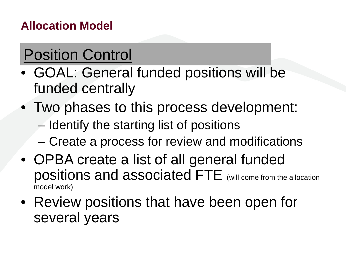# Position Control

- GOAL: General funded positions will be funded centrally
- Two phases to this process development: – Identify the starting list of positions
	- Create a process for review and modifications
- OPBA create a list of all general funded positions and associated FTE (will come from the allocation model work)
- Review positions that have been open for several years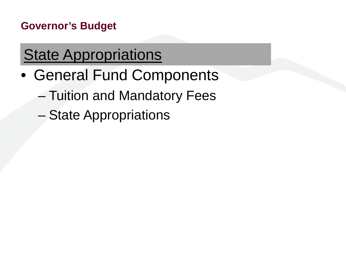# **State Appropriations**

- General Fund Components
	- Tuition and Mandatory Fees
	- State Appropriations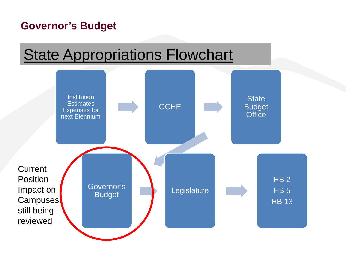## **State Appropriations Flowchart**

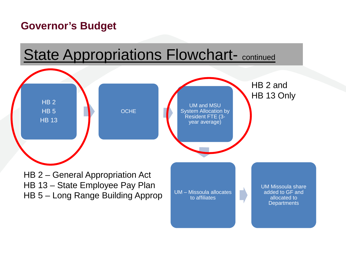# **State Appropriations Flowchart-** continued

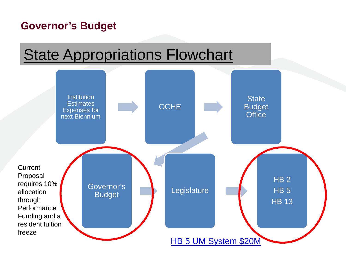## **State Appropriations Flowchart**

![](_page_13_Figure_2.jpeg)